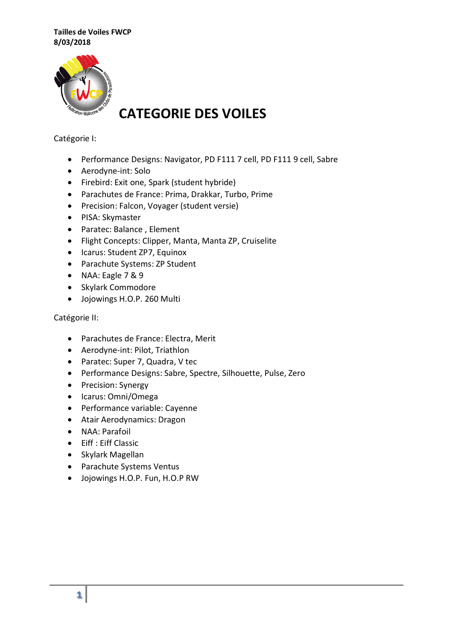

# **CATEGORIE DES VOILES**

# Catégorie I:

- Performance Designs: Navigator, PD F111 7 cell, PD F111 9 cell, Sabre
- Aerodyne-int: Solo
- Firebird: Exit one, Spark (student hybride)
- Parachutes de France: Prima, Drakkar, Turbo, Prime
- Precision: Falcon, Voyager (student versie)
- PISA: Skymaster
- Paratec: Balance , Element
- Flight Concepts: Clipper, Manta, Manta ZP, Cruiselite
- Icarus: Student ZP7, Equinox
- Parachute Systems: ZP Student
- NAA: Eagle 7 & 9
- Skylark Commodore
- Jojowings H.O.P. 260 Multi

### Catégorie II:

- Parachutes de France: Electra, Merit
- Aerodyne-int: Pilot, Triathlon
- Paratec: Super 7, Quadra, V tec
- Performance Designs: Sabre, Spectre, Silhouette, Pulse, Zero
- Precision: Synergy
- Icarus: Omni/Omega
- Performance variable: Cayenne
- Atair Aerodynamics: Dragon
- NAA: Parafoil
- Eiff : Eiff Classic
- Skylark Magellan
- Parachute Systems Ventus
- Jojowings H.O.P. Fun, H.O.P RW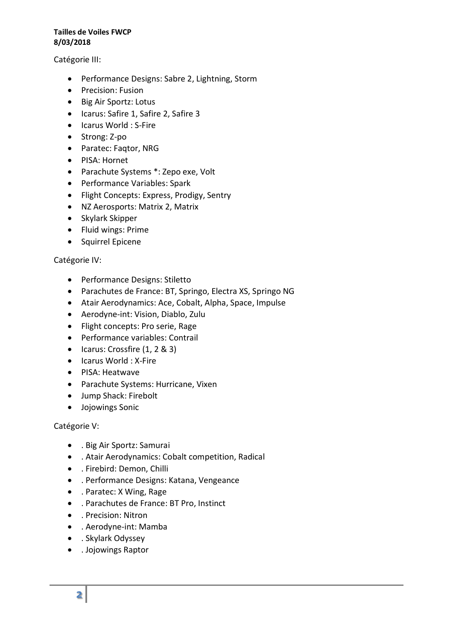Catégorie III:

- Performance Designs: Sabre 2, Lightning, Storm
- Precision: Fusion
- Big Air Sportz: Lotus
- Icarus: Safire 1, Safire 2, Safire 3
- Icarus World : S-Fire
- Strong: Z-po
- Paratec: Faqtor, NRG
- PISA: Hornet
- Parachute Systems \*: Zepo exe, Volt
- Performance Variables: Spark
- Flight Concepts: Express, Prodigy, Sentry
- NZ Aerosports: Matrix 2, Matrix
- Skylark Skipper
- Fluid wings: Prime
- Squirrel Epicene

#### Catégorie IV:

- Performance Designs: Stiletto
- Parachutes de France: BT, Springo, Electra XS, Springo NG
- Atair Aerodynamics: Ace, Cobalt, Alpha, Space, Impulse
- Aerodyne-int: Vision, Diablo, Zulu
- Flight concepts: Pro serie, Rage
- Performance variables: Contrail
- $\bullet$  Icarus: Crossfire  $(1, 2, 8, 3)$
- Icarus World : X-Fire
- PISA: Heatwave
- Parachute Systems: Hurricane, Vixen
- Jump Shack: Firebolt
- Jojowings Sonic

#### Catégorie V:

- . Big Air Sportz: Samurai
- . Atair Aerodynamics: Cobalt competition, Radical
- . Firebird: Demon, Chilli
- . Performance Designs: Katana, Vengeance
- . Paratec: X Wing, Rage
- . Parachutes de France: BT Pro, Instinct
- . Precision: Nitron
- . Aerodyne-int: Mamba
- . Skylark Odyssey
- . Jojowings Raptor